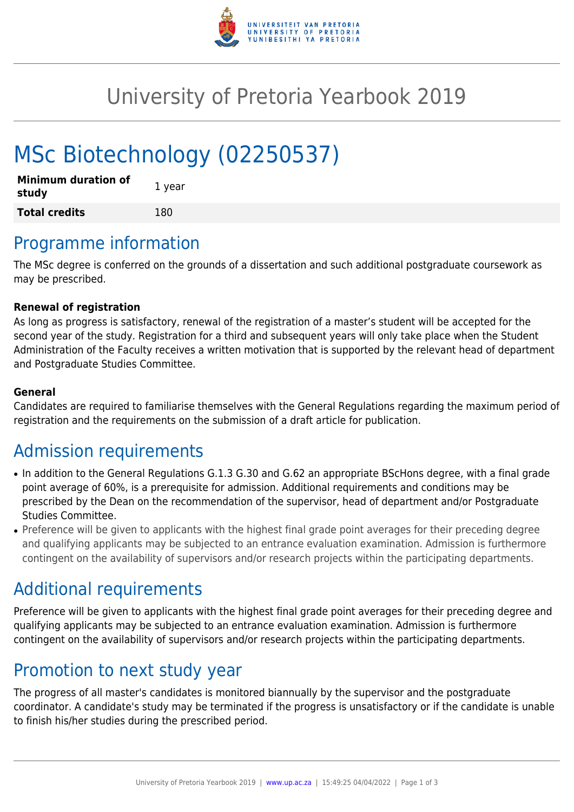

## University of Pretoria Yearbook 2019

# MSc Biotechnology (02250537)

| <b>Minimum duration of</b><br>study | 1 year |
|-------------------------------------|--------|
| <b>Total credits</b>                | 180    |

### Programme information

The MSc degree is conferred on the grounds of a dissertation and such additional postgraduate coursework as may be prescribed.

#### **Renewal of registration**

As long as progress is satisfactory, renewal of the registration of a master's student will be accepted for the second year of the study. Registration for a third and subsequent years will only take place when the Student Administration of the Faculty receives a written motivation that is supported by the relevant head of department and Postgraduate Studies Committee.

#### **General**

Candidates are required to familiarise themselves with the General Regulations regarding the maximum period of registration and the requirements on the submission of a draft article for publication.

### Admission requirements

- In addition to the General Regulations G.1.3 G.30 and G.62 an appropriate BScHons degree, with a final grade point average of 60%, is a prerequisite for admission. Additional requirements and conditions may be prescribed by the Dean on the recommendation of the supervisor, head of department and/or Postgraduate Studies Committee.
- Preference will be given to applicants with the highest final grade point averages for their preceding degree and qualifying applicants may be subjected to an entrance evaluation examination. Admission is furthermore contingent on the availability of supervisors and/or research projects within the participating departments.

### Additional requirements

Preference will be given to applicants with the highest final grade point averages for their preceding degree and qualifying applicants may be subjected to an entrance evaluation examination. Admission is furthermore contingent on the availability of supervisors and/or research projects within the participating departments.

### Promotion to next study year

The progress of all master's candidates is monitored biannually by the supervisor and the postgraduate coordinator. A candidate's study may be terminated if the progress is unsatisfactory or if the candidate is unable to finish his/her studies during the prescribed period.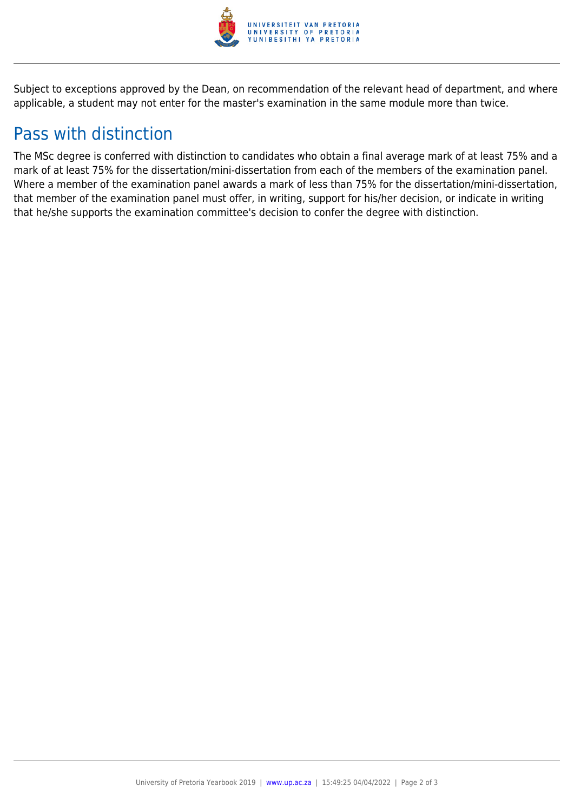

Subject to exceptions approved by the Dean, on recommendation of the relevant head of department, and where applicable, a student may not enter for the master's examination in the same module more than twice.

### Pass with distinction

The MSc degree is conferred with distinction to candidates who obtain a final average mark of at least 75% and a mark of at least 75% for the dissertation/mini-dissertation from each of the members of the examination panel. Where a member of the examination panel awards a mark of less than 75% for the dissertation/mini-dissertation, that member of the examination panel must offer, in writing, support for his/her decision, or indicate in writing that he/she supports the examination committee's decision to confer the degree with distinction.